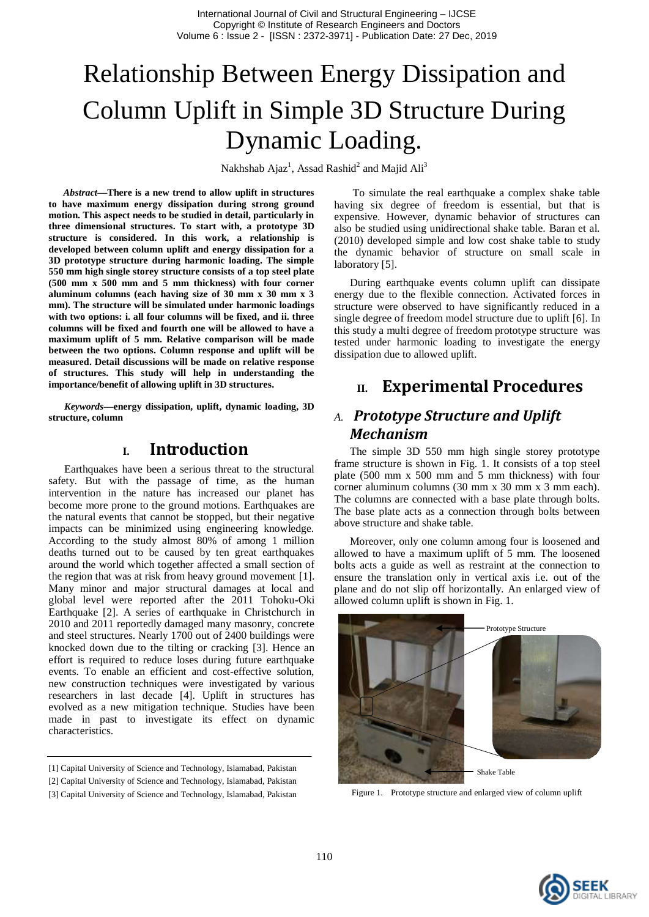# Relationship Between Energy Dissipation and Column Uplift in Simple 3D Structure During Dynamic Loading.

Nakhshab Ajaz<sup>1</sup>, Assad Rashid<sup>2</sup> and Majid Ali<sup>3</sup>

*Abstract***—There is a new trend to allow uplift in structures to have maximum energy dissipation during strong ground motion. This aspect needs to be studied in detail, particularly in three dimensional structures. To start with, a prototype 3D structure is considered. In this work, a relationship is developed between column uplift and energy dissipation for a 3D prototype structure during harmonic loading. The simple 550 mm high single storey structure consists of a top steel plate (500 mm x 500 mm and 5 mm thickness) with four corner aluminum columns (each having size of 30 mm x 30 mm x 3 mm). The structure will be simulated under harmonic loadings with two options: i. all four columns will be fixed, and ii. three columns will be fixed and fourth one will be allowed to have a maximum uplift of 5 mm. Relative comparison will be made between the two options. Column response and uplift will be measured. Detail discussions will be made on relative response of structures. This study will help in understanding the importance/benefit of allowing uplift in 3D structures.**

*Keywords—***energy dissipation, uplift, dynamic loading, 3D structure, column**

## **I. Introduction**

Earthquakes have been a serious threat to the structural safety. But with the passage of time, as the human intervention in the nature has increased our planet has become more prone to the ground motions. Earthquakes are the natural events that cannot be stopped, but their negative impacts can be minimized using engineering knowledge. According to the study almost 80% of among 1 million deaths turned out to be caused by ten great earthquakes around the world which together affected a small section of the region that was at risk from heavy ground movement [1]. Many minor and major structural damages at local and global level were reported after the 2011 Tohoku-Oki Earthquake [2]. A series of earthquake in Christchurch in 2010 and 2011 reportedly damaged many masonry, concrete and steel structures. Nearly 1700 out of 2400 buildings were knocked down due to the tilting or cracking [3]. Hence an effort is required to reduce loses during future earthquake events. To enable an efficient and cost-effective solution, new construction techniques were investigated by various researchers in last decade [4]. Uplift in structures has evolved as a new mitigation technique. Studies have been made in past to investigate its effect on dynamic characteristics.

To simulate the real earthquake a complex shake table having six degree of freedom is essential, but that is expensive. However, dynamic behavior of structures can also be studied using unidirectional shake table. Baran et al. (2010) developed simple and low cost shake table to study the dynamic behavior of structure on small scale in laboratory [5].

During earthquake events column uplift can dissipate energy due to the flexible connection. Activated forces in structure were observed to have significantly reduced in a single degree of freedom model structure due to uplift [6]. In this study a multi degree of freedom prototype structure was tested under harmonic loading to investigate the energy dissipation due to allowed uplift.

## **II. Experimental Procedures**

## *A. Prototype Structure and Uplift Mechanism*

The simple 3D 550 mm high single storey prototype frame structure is shown in Fig. 1. It consists of a top steel plate (500 mm x 500 mm and 5 mm thickness) with four corner aluminum columns (30 mm x 30 mm x 3 mm each). The columns are connected with a base plate through bolts. The base plate acts as a connection through bolts between above structure and shake table.

Moreover, only one column among four is loosened and allowed to have a maximum uplift of 5 mm. The loosened bolts acts a guide as well as restraint at the connection to ensure the translation only in vertical axis i.e. out of the plane and do not slip off horizontally. An enlarged view of allowed column uplift is shown in Fig. 1.



Figure 1. Prototype structure and enlarged view of column uplift



<sup>[1]</sup> Capital University of Science and Technology, Islamabad, Pakistan

<sup>[2]</sup> Capital University of Science and Technology, Islamabad, Pakistan

<sup>[3]</sup> Capital University of Science and Technology, Islamabad, Pakistan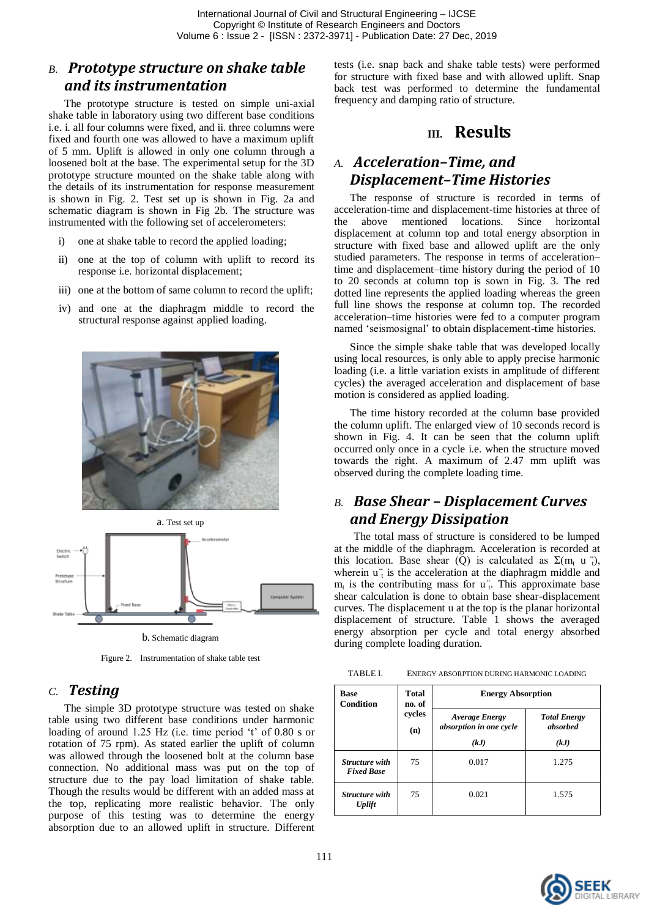## *B. Prototype structure on shake table and its instrumentation*

The prototype structure is tested on simple uni-axial shake table in laboratory using two different base conditions i.e. i. all four columns were fixed, and ii. three columns were fixed and fourth one was allowed to have a maximum uplift of 5 mm. Uplift is allowed in only one column through a loosened bolt at the base. The experimental setup for the 3D prototype structure mounted on the shake table along with the details of its instrumentation for response measurement is shown in Fig. 2. Test set up is shown in Fig. 2a and schematic diagram is shown in Fig 2b. The structure was instrumented with the following set of accelerometers:

- i) one at shake table to record the applied loading;
- ii) one at the top of column with uplift to record its response i.e. horizontal displacement;
- iii) one at the bottom of same column to record the uplift;
- iv) and one at the diaphragm middle to record the structural response against applied loading.





b. Schematic diagram

Figure 2. Instrumentation of shake table test

#### *C. Testing*

The simple 3D prototype structure was tested on shake table using two different base conditions under harmonic loading of around 1.25 Hz (i.e. time period 't' of 0.80 s or rotation of 75 rpm). As stated earlier the uplift of column was allowed through the loosened bolt at the column base connection. No additional mass was put on the top of structure due to the pay load limitation of shake table. Though the results would be different with an added mass at the top, replicating more realistic behavior. The only purpose of this testing was to determine the energy absorption due to an allowed uplift in structure. Different

tests (i.e. snap back and shake table tests) were performed for structure with fixed base and with allowed uplift. Snap back test was performed to determine the fundamental frequency and damping ratio of structure.

#### **III. Results**

## *A. Acceleration–Time, and Displacement–Time Histories*

The response of structure is recorded in terms of acceleration-time and displacement-time histories at three of the above mentioned locations. Since horizontal displacement at column top and total energy absorption in structure with fixed base and allowed uplift are the only studied parameters. The response in terms of acceleration– time and displacement–time history during the period of 10 to 20 seconds at column top is sown in Fig. 3. The red dotted line represents the applied loading whereas the green full line shows the response at column top. The recorded acceleration–time histories were fed to a computer program named "seismosignal" to obtain displacement-time histories.

Since the simple shake table that was developed locally using local resources, is only able to apply precise harmonic loading (i.e. a little variation exists in amplitude of different cycles) the averaged acceleration and displacement of base motion is considered as applied loading.

The time history recorded at the column base provided the column uplift. The enlarged view of 10 seconds record is shown in Fig. 4. It can be seen that the column uplift occurred only once in a cycle i.e. when the structure moved towards the right. A maximum of 2.47 mm uplift was observed during the complete loading time.

## *B. Base Shear – Displacement Curves and Energy Dissipation*

The total mass of structure is considered to be lumped at the middle of the diaphragm. Acceleration is recorded at this location. Base shear (Q) is calculated as  $\Sigma(m_t \text{ u } t)$ , wherein  $u_t$  is the acceleration at the diaphragm middle and  $m_t$  is the contributing mass for  $u_t$ . This approximate base shear calculation is done to obtain base shear-displacement curves. The displacement u at the top is the planar horizontal displacement of structure. Table 1 shows the averaged energy absorption per cycle and total energy absorbed during complete loading duration.

TABLE I. ENERGY ABSORPTION DURING HARMONIC LOADING

| <b>Base</b><br>Condition            | Total<br>no. of<br>cycles<br>(n) | <b>Energy Absorption</b>                         |                                 |
|-------------------------------------|----------------------------------|--------------------------------------------------|---------------------------------|
|                                     |                                  | <b>Average Energy</b><br>absorption in one cycle | <b>Total Energy</b><br>absorbed |
|                                     |                                  | (kJ)                                             | (kJ)                            |
| Structure with<br><b>Fixed Base</b> | 75                               | 0.017                                            | 1.275                           |
| Structure with<br><b>Uplift</b>     | 75                               | 0.021                                            | 1.575                           |

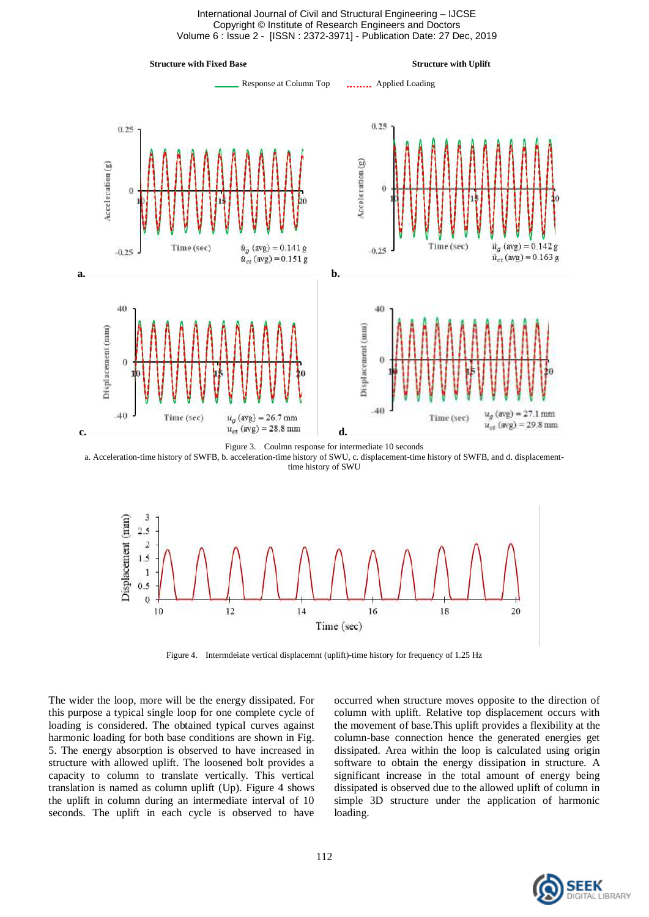International Journal of Civil and Structural Engineering – IJCSE Copyright © Institute of Research Engineers and Doctors Volume 6 : Issue 2 - [ISSN : 2372-3971] - Publication Date: 27 Dec, 2019





a. Acceleration-time history of SWFB, b. acceleration-time history of SWU, c. displacement-time history of SWFB, and d. displacementtime history of SWU



Figure 4. Intermdeiate vertical displacemnt (uplift)-time history for frequency of 1.25 Hz

The wider the loop, more will be the energy dissipated. For this purpose a typical single loop for one complete cycle of loading is considered. The obtained typical curves against harmonic loading for both base conditions are shown in Fig. 5. The energy absorption is observed to have increased in structure with allowed uplift. The loosened bolt provides a capacity to column to translate vertically. This vertical translation is named as column uplift (Up). Figure 4 shows the uplift in column during an intermediate interval of 10 seconds. The uplift in each cycle is observed to have

occurred when structure moves opposite to the direction of column with uplift. Relative top displacement occurs with the movement of base.This uplift provides a flexibility at the column-base connection hence the generated energies get dissipated. Area within the loop is calculated using origin software to obtain the energy dissipation in structure. A significant increase in the total amount of energy being dissipated is observed due to the allowed uplift of column in simple 3D structure under the application of harmonic loading.

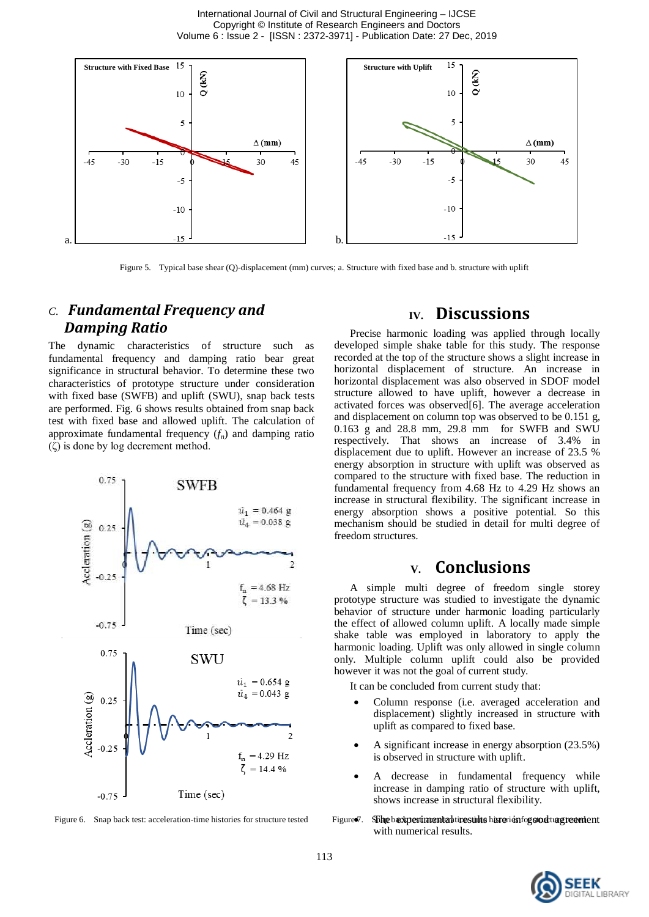International Journal of Civil and Structural Engineering – IJCSE Copyright © Institute of Research Engineers and Doctors Volume 6 : Issue 2 - [ISSN : 2372-3971] - Publication Date: 27 Dec, 2019



Figure 5. Typical base shear (Q)-displacement (mm) curves; a. Structure with fixed base and b. structure with uplift

#### *C. Fundamental Frequency and Damping Ratio*

The dynamic characteristics of structure such as fundamental frequency and damping ratio bear great significance in structural behavior. To determine these two characteristics of prototype structure under consideration with fixed base (SWFB) and uplift (SWU), snap back tests are performed. Fig. 6 shows results obtained from snap back test with fixed base and allowed uplift. The calculation of approximate fundamental frequency (*fn*) and damping ratio  $(\zeta)$  is done by log decrement method.



Figure 6. Snap back test: acceleration-time histories for structure tested Figure  $\mathcal{F}$ .

## **IV. Discussions**

Precise harmonic loading was applied through locally developed simple shake table for this study. The response recorded at the top of the structure shows a slight increase in horizontal displacement of structure. An increase in horizontal displacement was also observed in SDOF model structure allowed to have uplift, however a decrease in activated forces was observed[6]. The average acceleration and displacement on column top was observed to be 0.151 g, 0.163 g and 28.8 mm, 29.8 mm for SWFB and SWU respectively. That shows an increase of 3.4% in displacement due to uplift. However an increase of 23.5 % energy absorption in structure with uplift was observed as compared to the structure with fixed base. The reduction in fundamental frequency from 4.68 Hz to 4.29 Hz shows an increase in structural flexibility. The significant increase in energy absorption shows a positive potential. So this mechanism should be studied in detail for multi degree of freedom structures.

## **V. Conclusions**

A simple multi degree of freedom single storey prototype structure was studied to investigate the dynamic behavior of structure under harmonic loading particularly the effect of allowed column uplift. A locally made simple shake table was employed in laboratory to apply the harmonic loading. Uplift was only allowed in single column only. Multiple column uplift could also be provided however it was not the goal of current study.

It can be concluded from current study that:

- Column response (i.e. averaged acceleration and displacement) slightly increased in structure with uplift as compared to fixed base.
- A significant increase in energy absorption (23.5%) is observed in structure with uplift.
- A decrease in fundamental frequency while increase in damping ratio of structure with uplift, shows increase in structural flexibility.
- Shhe baxperimental tipestilits hare is an operator agreement with numerical results.